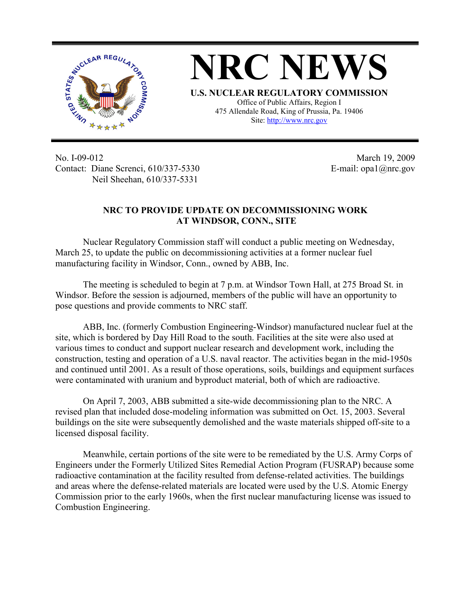

**NRC NEWS U.S. NUCLEAR REGULATORY COMMISSION** Office of Public Affairs, Region I 475 Allendale Road, King of Prussia, Pa. 19406

Site: http://www.nrc.gov

No. I-09-012 Contact: Diane Screnci, 610/337-5330 Neil Sheehan, 610/337-5331

March 19, 2009 E-mail: opa1@nrc.gov

## **NRC TO PROVIDE UPDATE ON DECOMMISSIONING WORK AT WINDSOR, CONN., SITE**

Nuclear Regulatory Commission staff will conduct a public meeting on Wednesday, March 25, to update the public on decommissioning activities at a former nuclear fuel manufacturing facility in Windsor, Conn., owned by ABB, Inc.

The meeting is scheduled to begin at 7 p.m. at Windsor Town Hall, at 275 Broad St. in Windsor. Before the session is adjourned, members of the public will have an opportunity to pose questions and provide comments to NRC staff.

ABB, Inc. (formerly Combustion Engineering-Windsor) manufactured nuclear fuel at the site, which is bordered by Day Hill Road to the south. Facilities at the site were also used at various times to conduct and support nuclear research and development work, including the construction, testing and operation of a U.S. naval reactor. The activities began in the mid-1950s and continued until 2001. As a result of those operations, soils, buildings and equipment surfaces were contaminated with uranium and byproduct material, both of which are radioactive.

On April 7, 2003, ABB submitted a site-wide decommissioning plan to the NRC. A revised plan that included dose-modeling information was submitted on Oct. 15, 2003. Several buildings on the site were subsequently demolished and the waste materials shipped off-site to a licensed disposal facility.

 Meanwhile, certain portions of the site were to be remediated by the U.S. Army Corps of Engineers under the Formerly Utilized Sites Remedial Action Program (FUSRAP) because some radioactive contamination at the facility resulted from defense-related activities. The buildings and areas where the defense-related materials are located were used by the U.S. Atomic Energy Commission prior to the early 1960s, when the first nuclear manufacturing license was issued to Combustion Engineering.